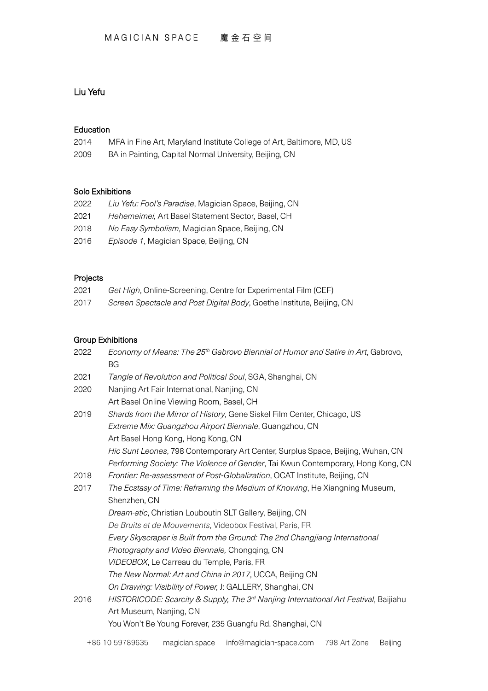# Liu Yefu

#### Education

| 2014                 | MFA in Fine Art, Maryland Institute College of Art, Baltimore, MD, US |
|----------------------|-----------------------------------------------------------------------|
| $\sim$ $\sim$ $\sim$ |                                                                       |

2009 BA in Painting, Capital Normal University, Beijing, CN

### Solo Exhibitions

| 2022 | Liu Yefu: Fool's Paradise, Magician Space, Beijing, CN |
|------|--------------------------------------------------------|
| 2021 | Hehemeimei, Art Basel Statement Sector, Basel, CH      |
| 2018 | No Easy Symbolism, Magician Space, Beijing, CN         |
| 2016 | Episode 1, Magician Space, Beijing, CN                 |
|      |                                                        |

## Projects

| 2021 | Get High, Online-Screening, Centre for Experimental Film (CEF)        |
|------|-----------------------------------------------------------------------|
| 2017 | Screen Spectacle and Post Digital Body, Goethe Institute, Beijing, CN |

### Group Exhibitions

| 2022 | Economy of Means: The 25th Gabrovo Biennial of Humor and Satire in Art, Gabrovo,<br><b>BG</b>    |
|------|--------------------------------------------------------------------------------------------------|
| 2021 | Tangle of Revolution and Political Soul, SGA, Shanghai, CN                                       |
| 2020 | Nanjing Art Fair International, Nanjing, CN                                                      |
|      | Art Basel Online Viewing Room, Basel, CH                                                         |
| 2019 | Shards from the Mirror of History, Gene Siskel Film Center, Chicago, US                          |
|      | Extreme Mix: Guangzhou Airport Biennale, Guangzhou, CN                                           |
|      | Art Basel Hong Kong, Hong Kong, CN                                                               |
|      | Hic Sunt Leones, 798 Contemporary Art Center, Surplus Space, Beijing, Wuhan, CN                  |
|      | Performing Society: The Violence of Gender, Tai Kwun Contemporary, Hong Kong, CN                 |
| 2018 | Frontier: Re-assessment of Post-Globalization, OCAT Institute, Beijing, CN                       |
| 2017 | The Ecstasy of Time: Reframing the Medium of Knowing, He Xiangning Museum,                       |
|      | Shenzhen, CN                                                                                     |
|      | Dream-atic, Christian Louboutin SLT Gallery, Beijing, CN                                         |
|      | De Bruits et de Mouvements, Videobox Festival, Paris, FR                                         |
|      | Every Skyscraper is Built from the Ground: The 2nd Changjiang International                      |
|      | Photography and Video Biennale, Chongging, CN                                                    |
|      | VIDEOBOX, Le Carreau du Temple, Paris, FR                                                        |
|      | The New Normal: Art and China in 2017, UCCA, Beijing CN                                          |
|      | On Drawing: Visibility of Power, J: GALLERY, Shanghai, CN                                        |
| 2016 | HISTORICODE: Scarcity & Supply, The 3 <sup>rd</sup> Nanjing International Art Festival, Baijiahu |
|      | Art Museum, Nanjing, CN                                                                          |
|      | You Won't Be Young Forever, 235 Guangfu Rd. Shanghai, CN                                         |
|      |                                                                                                  |